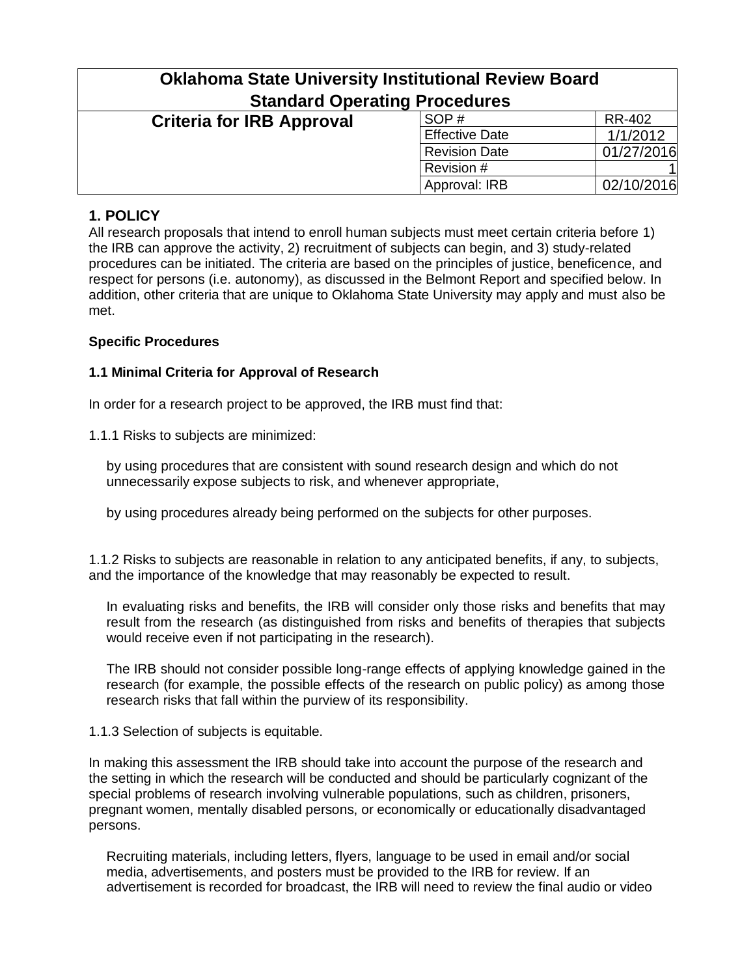| <b>Oklahoma State University Institutional Review Board</b> |                       |            |  |
|-------------------------------------------------------------|-----------------------|------------|--|
| <b>Standard Operating Procedures</b>                        |                       |            |  |
| <b>Criteria for IRB Approval</b>                            | SOP#                  | RR-402     |  |
|                                                             | <b>Effective Date</b> | 1/1/2012   |  |
|                                                             | <b>Revision Date</b>  | 01/27/2016 |  |
|                                                             | Revision #            |            |  |
|                                                             | Approval: IRB         | 02/10/2016 |  |

## **1. POLICY**

All research proposals that intend to enroll human subjects must meet certain criteria before 1) the IRB can approve the activity, 2) recruitment of subjects can begin, and 3) study-related procedures can be initiated. The criteria are based on the principles of justice, beneficence, and respect for persons (i.e. autonomy), as discussed in the Belmont Report and specified below. In addition, other criteria that are unique to Oklahoma State University may apply and must also be met.

## **Specific Procedures**

## **1.1 Minimal Criteria for Approval of Research**

In order for a research project to be approved, the IRB must find that:

1.1.1 Risks to subjects are minimized:

by using procedures that are consistent with sound research design and which do not unnecessarily expose subjects to risk, and whenever appropriate,

by using procedures already being performed on the subjects for other purposes.

1.1.2 Risks to subjects are reasonable in relation to any anticipated benefits, if any, to subjects, and the importance of the knowledge that may reasonably be expected to result.

In evaluating risks and benefits, the IRB will consider only those risks and benefits that may result from the research (as distinguished from risks and benefits of therapies that subjects would receive even if not participating in the research).

The IRB should not consider possible long-range effects of applying knowledge gained in the research (for example, the possible effects of the research on public policy) as among those research risks that fall within the purview of its responsibility.

1.1.3 Selection of subjects is equitable.

In making this assessment the IRB should take into account the purpose of the research and the setting in which the research will be conducted and should be particularly cognizant of the special problems of research involving vulnerable populations, such as children, prisoners, pregnant women, mentally disabled persons, or economically or educationally disadvantaged persons.

Recruiting materials, including letters, flyers, language to be used in email and/or social media, advertisements, and posters must be provided to the IRB for review. If an advertisement is recorded for broadcast, the IRB will need to review the final audio or video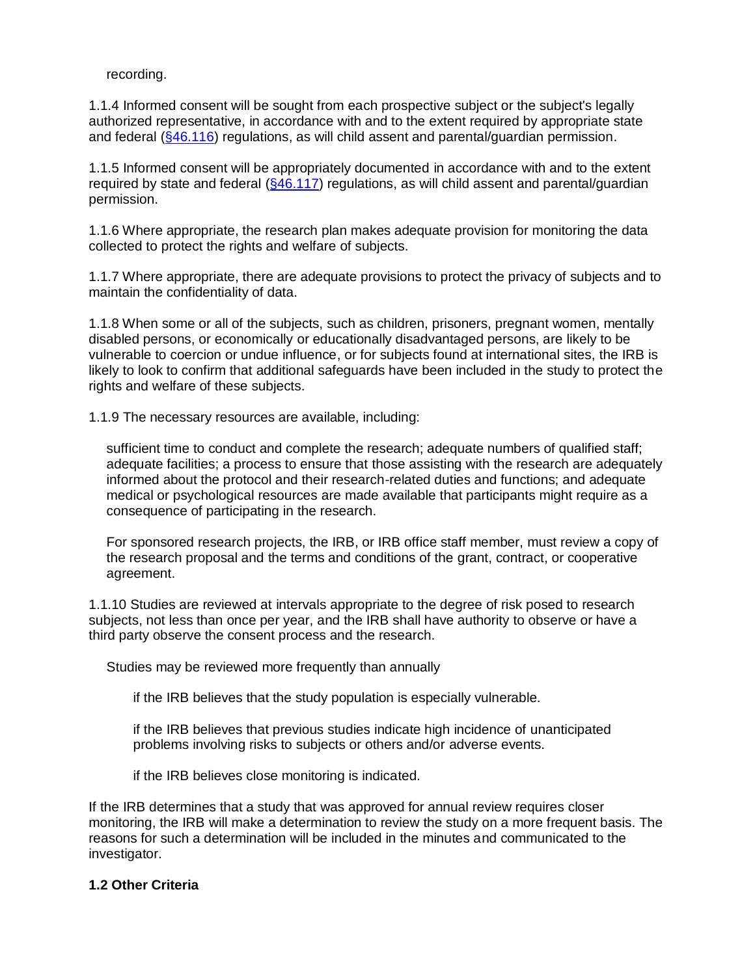recording.

1.1.4 Informed consent will be sought from each prospective subject or the subject's legally authorized representative, in accordance with and to the extent required by appropriate state and federal [\(§46.116\)](http://www.hhs.gov/ohrp/humansubjects/guidance/45cfr46.html#46.116) regulations, as will child assent and parental/guardian permission.

1.1.5 Informed consent will be appropriately documented in accordance with and to the extent required by state and federal [\(§46.117\)](http://www.hhs.gov/ohrp/humansubjects/guidance/45cfr46.html#46.117) regulations, as will child assent and parental/guardian permission.

1.1.6 Where appropriate, the research plan makes adequate provision for monitoring the data collected to protect the rights and welfare of subjects.

1.1.7 Where appropriate, there are adequate provisions to protect the privacy of subjects and to maintain the confidentiality of data.

1.1.8 When some or all of the subjects, such as children, prisoners, pregnant women, mentally disabled persons, or economically or educationally disadvantaged persons, are likely to be vulnerable to coercion or undue influence, or for subjects found at international sites, the IRB is likely to look to confirm that additional safeguards have been included in the study to protect the rights and welfare of these subjects.

1.1.9 The necessary resources are available, including:

sufficient time to conduct and complete the research; adequate numbers of qualified staff; adequate facilities; a process to ensure that those assisting with the research are adequately informed about the protocol and their research-related duties and functions; and adequate medical or psychological resources are made available that participants might require as a consequence of participating in the research.

For sponsored research projects, the IRB, or IRB office staff member, must review a copy of the research proposal and the terms and conditions of the grant, contract, or cooperative agreement.

1.1.10 Studies are reviewed at intervals appropriate to the degree of risk posed to research subjects, not less than once per year, and the IRB shall have authority to observe or have a third party observe the consent process and the research.

Studies may be reviewed more frequently than annually

if the IRB believes that the study population is especially vulnerable.

if the IRB believes that previous studies indicate high incidence of unanticipated problems involving risks to subjects or others and/or adverse events.

if the IRB believes close monitoring is indicated.

If the IRB determines that a study that was approved for annual review requires closer monitoring, the IRB will make a determination to review the study on a more frequent basis. The reasons for such a determination will be included in the minutes and communicated to the investigator.

## **1.2 Other Criteria**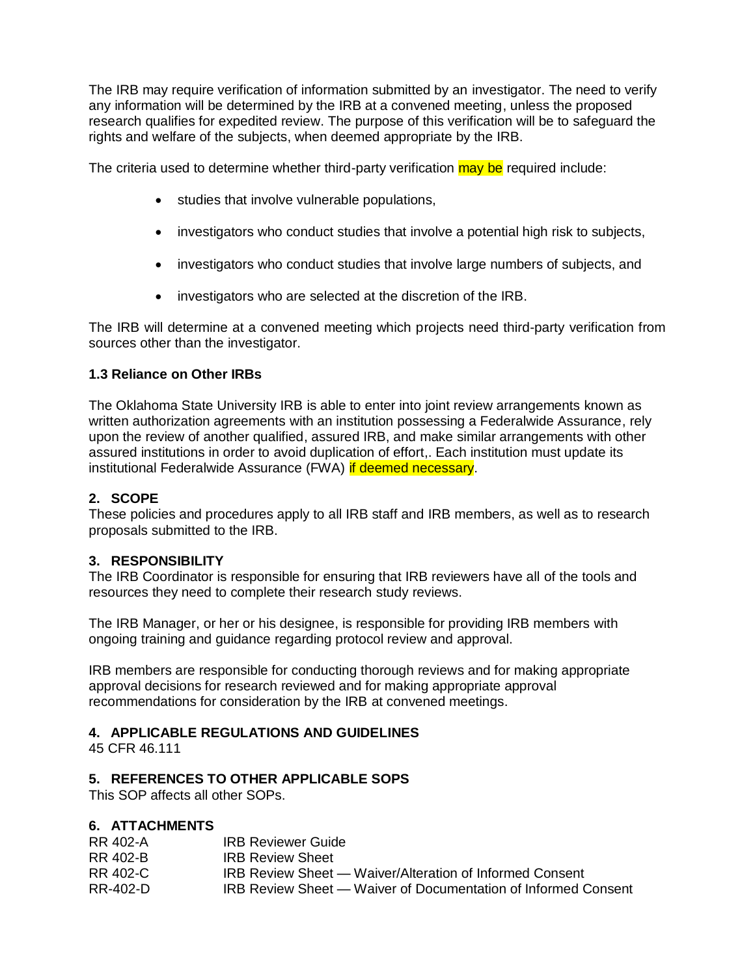The IRB may require verification of information submitted by an investigator. The need to verify any information will be determined by the IRB at a convened meeting, unless the proposed research qualifies for expedited review. The purpose of this verification will be to safeguard the rights and welfare of the subjects, when deemed appropriate by the IRB.

The criteria used to determine whether third-party verification may be required include:

- studies that involve vulnerable populations,
- investigators who conduct studies that involve a potential high risk to subjects,
- investigators who conduct studies that involve large numbers of subjects, and
- investigators who are selected at the discretion of the IRB.

The IRB will determine at a convened meeting which projects need third-party verification from sources other than the investigator.

## **1.3 Reliance on Other IRBs**

The Oklahoma State University IRB is able to enter into joint review arrangements known as written authorization agreements with an institution possessing a Federalwide Assurance, rely upon the review of another qualified, assured IRB, and make similar arrangements with other assured institutions in order to avoid duplication of effort,. Each institution must update its institutional Federalwide Assurance (FWA) if deemed necessary.

## **2. SCOPE**

These policies and procedures apply to all IRB staff and IRB members, as well as to research proposals submitted to the IRB.

## **3. RESPONSIBILITY**

The IRB Coordinator is responsible for ensuring that IRB reviewers have all of the tools and resources they need to complete their research study reviews.

The IRB Manager, or her or his designee, is responsible for providing IRB members with ongoing training and guidance regarding protocol review and approval.

IRB members are responsible for conducting thorough reviews and for making appropriate approval decisions for research reviewed and for making appropriate approval recommendations for consideration by the IRB at convened meetings.

## **4. APPLICABLE REGULATIONS AND GUIDELINES**

45 CFR 46.111

## **5. REFERENCES TO OTHER APPLICABLE SOPS**

This SOP affects all other SOPs.

## **6. ATTACHMENTS**

| RR 402-A | <b>IRB Reviewer Guide</b>                                       |
|----------|-----------------------------------------------------------------|
| RR 402-B | <b>IRB Review Sheet</b>                                         |
| RR 402-C | <b>IRB Review Sheet — Waiver/Alteration of Informed Consent</b> |
| RR-402-D | IRB Review Sheet — Waiver of Documentation of Informed Consent  |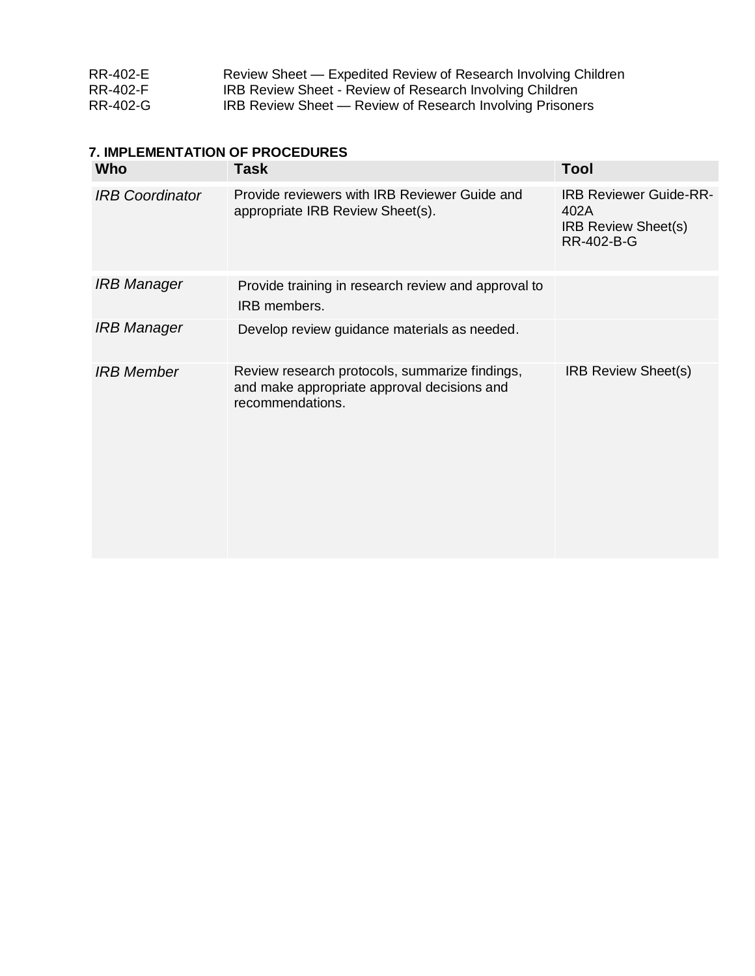| RR-402-E | Review Sheet — Expedited Review of Research Involving Children |
|----------|----------------------------------------------------------------|
| RR-402-F | IRB Review Sheet - Review of Research Involving Children       |
| RR-402-G | IRB Review Sheet — Review of Research Involving Prisoners      |

# **7. IMPLEMENTATION OF PROCEDURES**

| Who                    | Task                                                                                                              | Tool                                                                              |
|------------------------|-------------------------------------------------------------------------------------------------------------------|-----------------------------------------------------------------------------------|
| <b>IRB Coordinator</b> | Provide reviewers with IRB Reviewer Guide and<br>appropriate IRB Review Sheet(s).                                 | <b>IRB Reviewer Guide-RR-</b><br>402A<br><b>IRB Review Sheet(s)</b><br>RR-402-B-G |
| IRB Manager            | Provide training in research review and approval to<br>IRB members.                                               |                                                                                   |
| <b>IRB Manager</b>     | Develop review guidance materials as needed.                                                                      |                                                                                   |
| <b>IRB Member</b>      | Review research protocols, summarize findings,<br>and make appropriate approval decisions and<br>recommendations. | <b>IRB Review Sheet(s)</b>                                                        |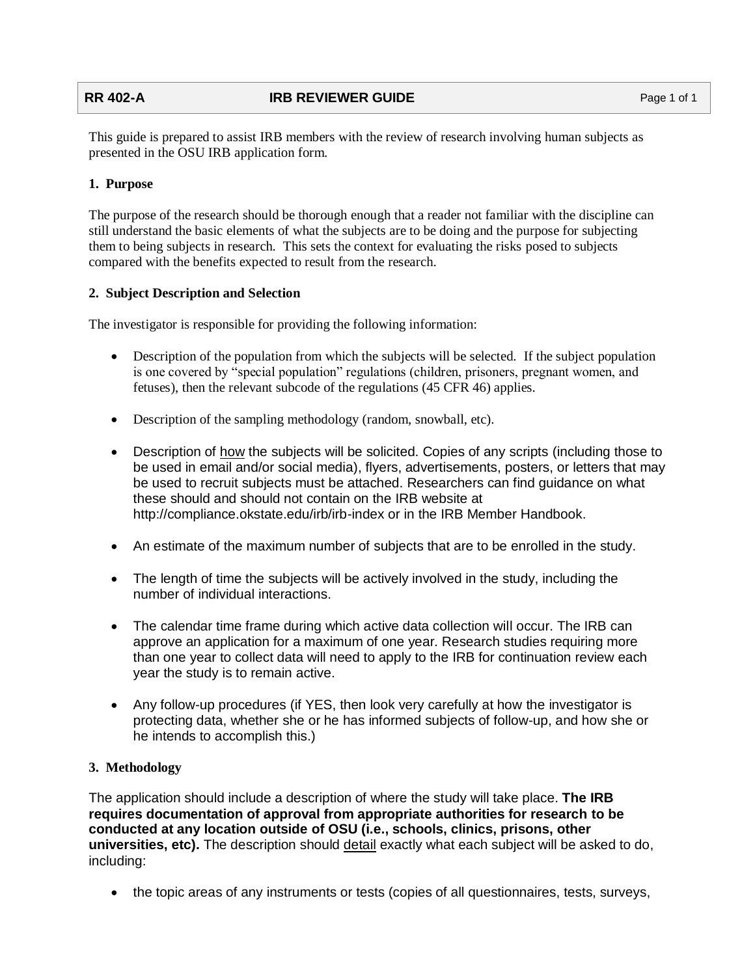This guide is prepared to assist IRB members with the review of research involving human subjects as presented in the OSU IRB application form.

#### **1. Purpose**

The purpose of the research should be thorough enough that a reader not familiar with the discipline can still understand the basic elements of what the subjects are to be doing and the purpose for subjecting them to being subjects in research. This sets the context for evaluating the risks posed to subjects compared with the benefits expected to result from the research.

#### **2. Subject Description and Selection**

The investigator is responsible for providing the following information:

- Description of the population from which the subjects will be selected. If the subject population is one covered by "special population" regulations (children, prisoners, pregnant women, and fetuses), then the relevant subcode of the regulations (45 CFR 46) applies.
- Description of the sampling methodology (random, snowball, etc).
- Description of how the subjects will be solicited. Copies of any scripts (including those to be used in email and/or social media), flyers, advertisements, posters, or letters that may be used to recruit subjects must be attached. Researchers can find guidance on what these should and should not contain on the IRB website at http://compliance.okstate.edu/irb/irb-index or in the IRB Member Handbook.
- An estimate of the maximum number of subjects that are to be enrolled in the study.
- The length of time the subjects will be actively involved in the study, including the number of individual interactions.
- The calendar time frame during which active data collection will occur. The IRB can approve an application for a maximum of one year. Research studies requiring more than one year to collect data will need to apply to the IRB for continuation review each year the study is to remain active.
- Any follow-up procedures (if YES, then look very carefully at how the investigator is protecting data, whether she or he has informed subjects of follow-up, and how she or he intends to accomplish this.)

## **3. Methodology**

The application should include a description of where the study will take place. **The IRB requires documentation of approval from appropriate authorities for research to be conducted at any location outside of OSU (i.e., schools, clinics, prisons, other universities, etc).** The description should detail exactly what each subject will be asked to do, including:

• the topic areas of any instruments or tests (copies of all questionnaires, tests, surveys,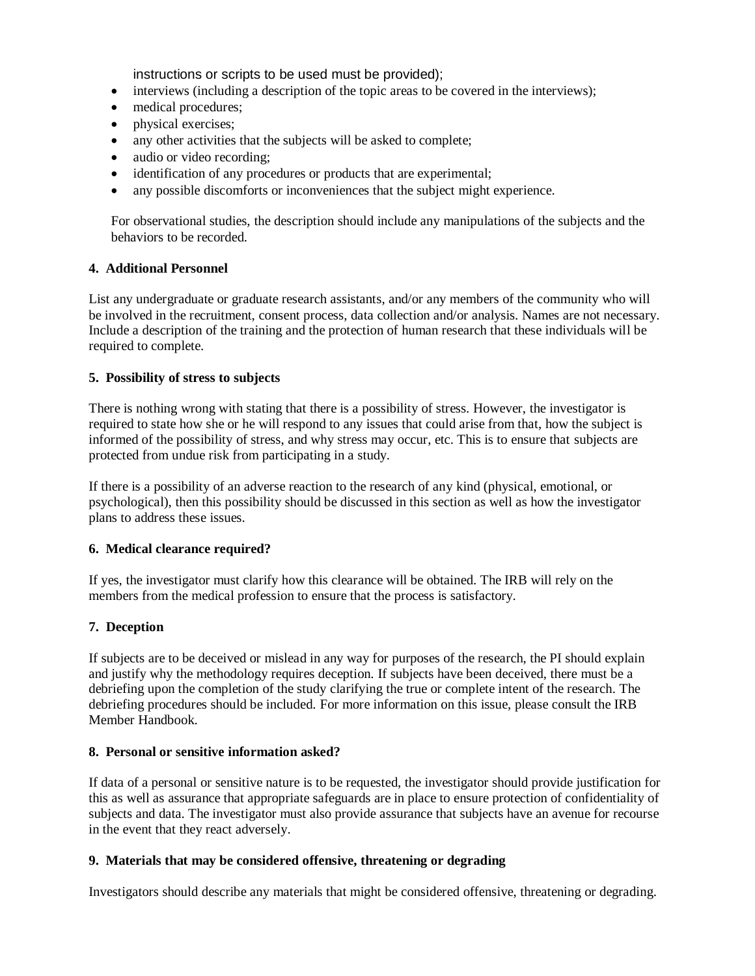instructions or scripts to be used must be provided);

- interviews (including a description of the topic areas to be covered in the interviews);
- medical procedures;
- physical exercises:
- any other activities that the subjects will be asked to complete;
- audio or video recording;
- identification of any procedures or products that are experimental;
- any possible discomforts or inconveniences that the subject might experience.

For observational studies, the description should include any manipulations of the subjects and the behaviors to be recorded.

## **4. Additional Personnel**

List any undergraduate or graduate research assistants, and/or any members of the community who will be involved in the recruitment, consent process, data collection and/or analysis. Names are not necessary. Include a description of the training and the protection of human research that these individuals will be required to complete.

## **5. Possibility of stress to subjects**

There is nothing wrong with stating that there is a possibility of stress. However, the investigator is required to state how she or he will respond to any issues that could arise from that, how the subject is informed of the possibility of stress, and why stress may occur, etc. This is to ensure that subjects are protected from undue risk from participating in a study.

If there is a possibility of an adverse reaction to the research of any kind (physical, emotional, or psychological), then this possibility should be discussed in this section as well as how the investigator plans to address these issues.

## **6. Medical clearance required?**

If yes, the investigator must clarify how this clearance will be obtained. The IRB will rely on the members from the medical profession to ensure that the process is satisfactory.

## **7. Deception**

If subjects are to be deceived or mislead in any way for purposes of the research, the PI should explain and justify why the methodology requires deception. If subjects have been deceived, there must be a debriefing upon the completion of the study clarifying the true or complete intent of the research. The debriefing procedures should be included. For more information on this issue, please consult the IRB Member Handbook.

## **8. Personal or sensitive information asked?**

If data of a personal or sensitive nature is to be requested, the investigator should provide justification for this as well as assurance that appropriate safeguards are in place to ensure protection of confidentiality of subjects and data. The investigator must also provide assurance that subjects have an avenue for recourse in the event that they react adversely.

## **9. Materials that may be considered offensive, threatening or degrading**

Investigators should describe any materials that might be considered offensive, threatening or degrading.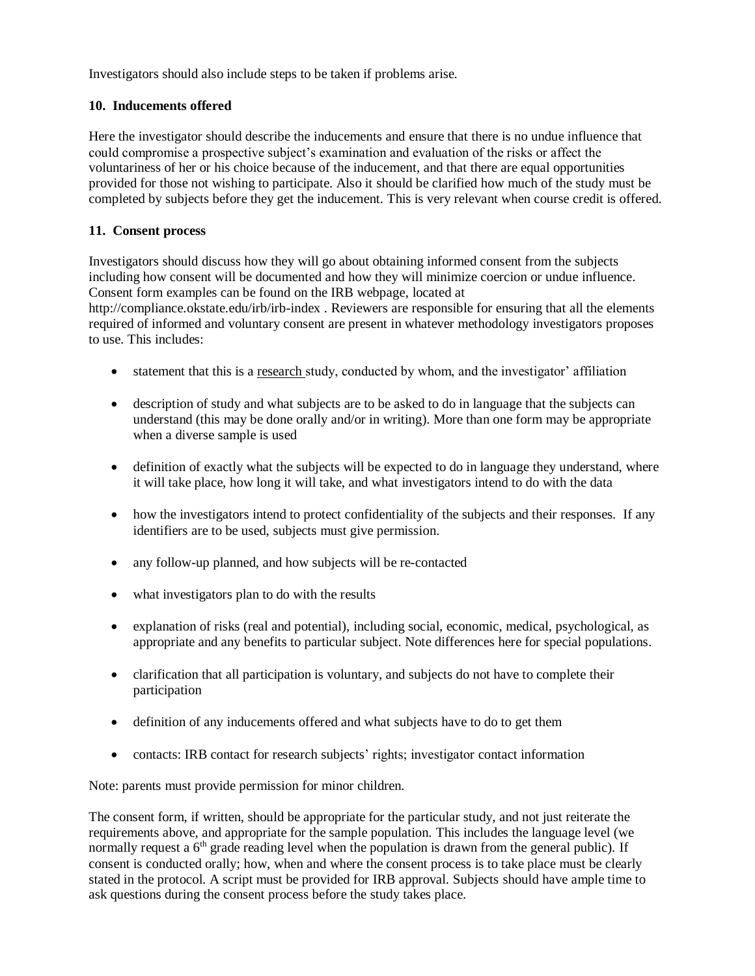Investigators should also include steps to be taken if problems arise.

## **10. Inducements offered**

Here the investigator should describe the inducements and ensure that there is no undue influence that could compromise a prospective subject's examination and evaluation of the risks or affect the voluntariness of her or his choice because of the inducement, and that there are equal opportunities provided for those not wishing to participate. Also it should be clarified how much of the study must be completed by subjects before they get the inducement. This is very relevant when course credit is offered.

## **11. Consent process**

Investigators should discuss how they will go about obtaining informed consent from the subjects including how consent will be documented and how they will minimize coercion or undue influence. Consent form examples can be found on the IRB webpage, located at

http://compliance.okstate.edu/irb/irb-index . Reviewers are responsible for ensuring that all the elements required of informed and voluntary consent are present in whatever methodology investigators proposes to use. This includes:

- statement that this is a research study, conducted by whom, and the investigator' affiliation
- description of study and what subjects are to be asked to do in language that the subjects can understand (this may be done orally and/or in writing). More than one form may be appropriate when a diverse sample is used
- definition of exactly what the subjects will be expected to do in language they understand, where it will take place, how long it will take, and what investigators intend to do with the data
- how the investigators intend to protect confidentiality of the subjects and their responses. If any identifiers are to be used, subjects must give permission.
- any follow-up planned, and how subjects will be re-contacted
- what investigators plan to do with the results
- explanation of risks (real and potential), including social, economic, medical, psychological, as appropriate and any benefits to particular subject. Note differences here for special populations.
- clarification that all participation is voluntary, and subjects do not have to complete their participation
- definition of any inducements offered and what subjects have to do to get them
- contacts: IRB contact for research subjects' rights; investigator contact information

Note: parents must provide permission for minor children.

The consent form, if written, should be appropriate for the particular study, and not just reiterate the requirements above, and appropriate for the sample population. This includes the language level (we normally request a  $6<sup>th</sup>$  grade reading level when the population is drawn from the general public). If consent is conducted orally; how, when and where the consent process is to take place must be clearly stated in the protocol. A script must be provided for IRB approval. Subjects should have ample time to ask questions during the consent process before the study takes place.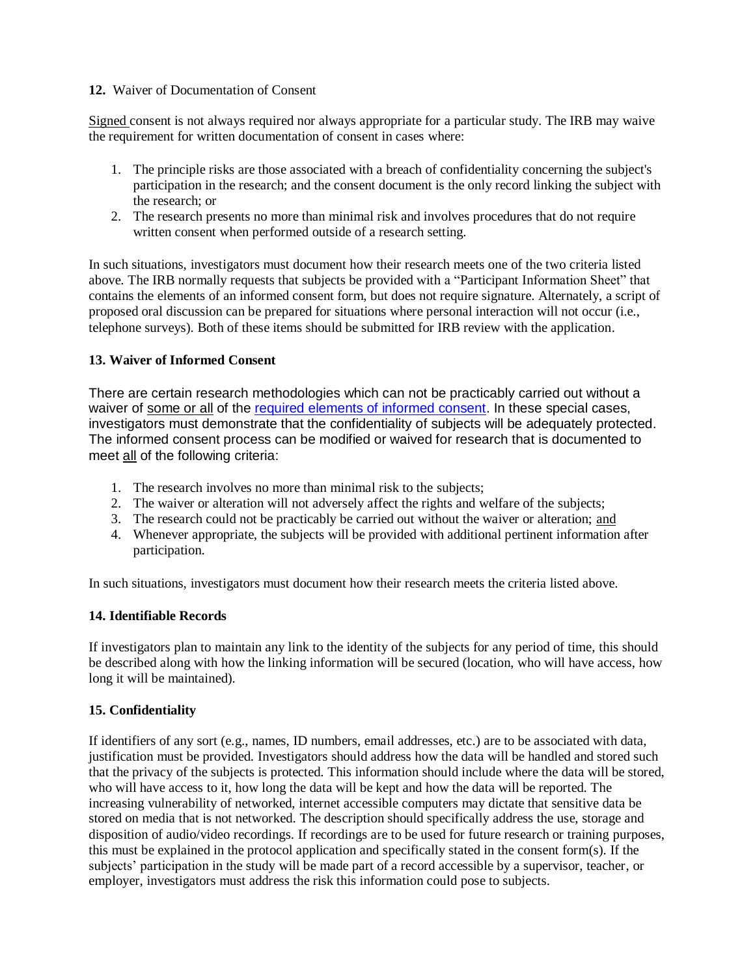## **12.** Waiver of Documentation of Consent

Signed consent is not always required nor always appropriate for a particular study. The IRB may waive the requirement for written documentation of consent in cases where:

- 1. The principle risks are those associated with a breach of confidentiality concerning the subject's participation in the research; and the consent document is the only record linking the subject with the research; or
- 2. The research presents no more than minimal risk and involves procedures that do not require written consent when performed outside of a research setting.

In such situations, investigators must document how their research meets one of the two criteria listed above. The IRB normally requests that subjects be provided with a "Participant Information Sheet" that contains the elements of an informed consent form, but does not require signature. Alternately, a script of proposed oral discussion can be prepared for situations where personal interaction will not occur (i.e., telephone surveys). Both of these items should be submitted for IRB review with the application.

## **13. Waiver of Informed Consent**

There are certain research methodologies which can not be practicably carried out without a waiver of some or all of the [required elements of informed consent.](http://compliance.vpr.okstate.edu/IRB/content.aspx) In these special cases, investigators must demonstrate that the confidentiality of subjects will be adequately protected. The informed consent process can be modified or waived for research that is documented to meet all of the following criteria:

- 1. The research involves no more than minimal risk to the subjects;
- 2. The waiver or alteration will not adversely affect the rights and welfare of the subjects;
- 3. The research could not be practicably be carried out without the waiver or alteration; and
- 4. Whenever appropriate, the subjects will be provided with additional pertinent information after participation.

In such situations, investigators must document how their research meets the criteria listed above.

## **14. Identifiable Records**

If investigators plan to maintain any link to the identity of the subjects for any period of time, this should be described along with how the linking information will be secured (location, who will have access, how long it will be maintained).

## **15. Confidentiality**

If identifiers of any sort (e.g., names, ID numbers, email addresses, etc.) are to be associated with data, justification must be provided. Investigators should address how the data will be handled and stored such that the privacy of the subjects is protected. This information should include where the data will be stored, who will have access to it, how long the data will be kept and how the data will be reported. The increasing vulnerability of networked, internet accessible computers may dictate that sensitive data be stored on media that is not networked. The description should specifically address the use, storage and disposition of audio/video recordings. If recordings are to be used for future research or training purposes, this must be explained in the protocol application and specifically stated in the consent form(s). If the subjects' participation in the study will be made part of a record accessible by a supervisor, teacher, or employer, investigators must address the risk this information could pose to subjects.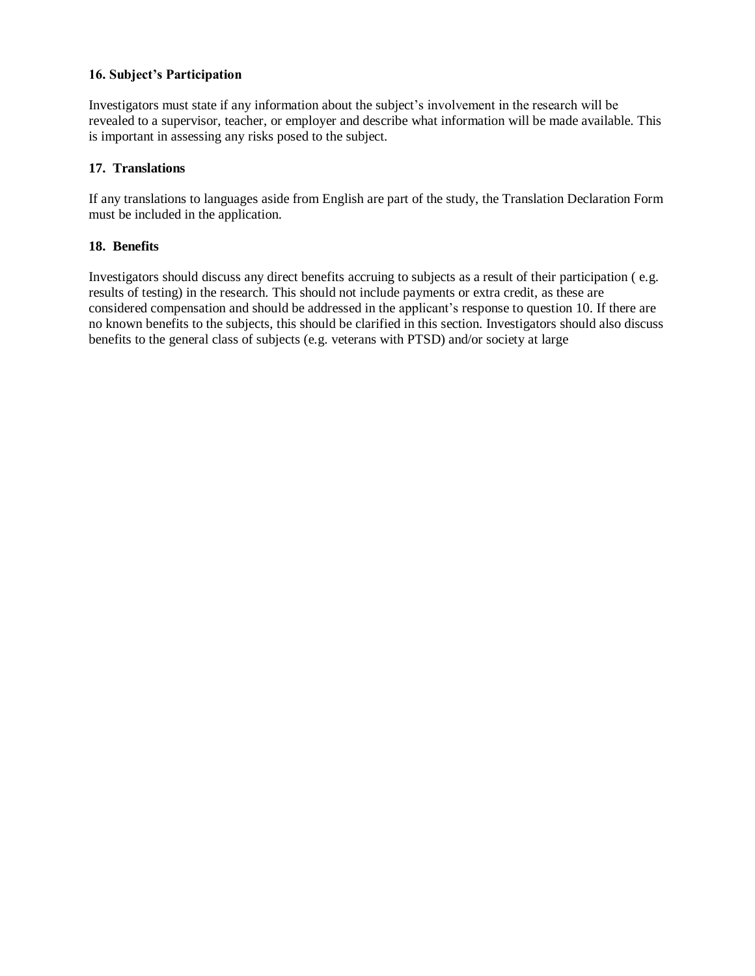## **16. Subject's Participation**

Investigators must state if any information about the subject's involvement in the research will be revealed to a supervisor, teacher, or employer and describe what information will be made available. This is important in assessing any risks posed to the subject.

## **17. Translations**

If any translations to languages aside from English are part of the study, the Translation Declaration Form must be included in the application.

## **18. Benefits**

Investigators should discuss any direct benefits accruing to subjects as a result of their participation ( e.g. results of testing) in the research. This should not include payments or extra credit, as these are considered compensation and should be addressed in the applicant's response to question 10. If there are no known benefits to the subjects, this should be clarified in this section. Investigators should also discuss benefits to the general class of subjects (e.g. veterans with PTSD) and/or society at large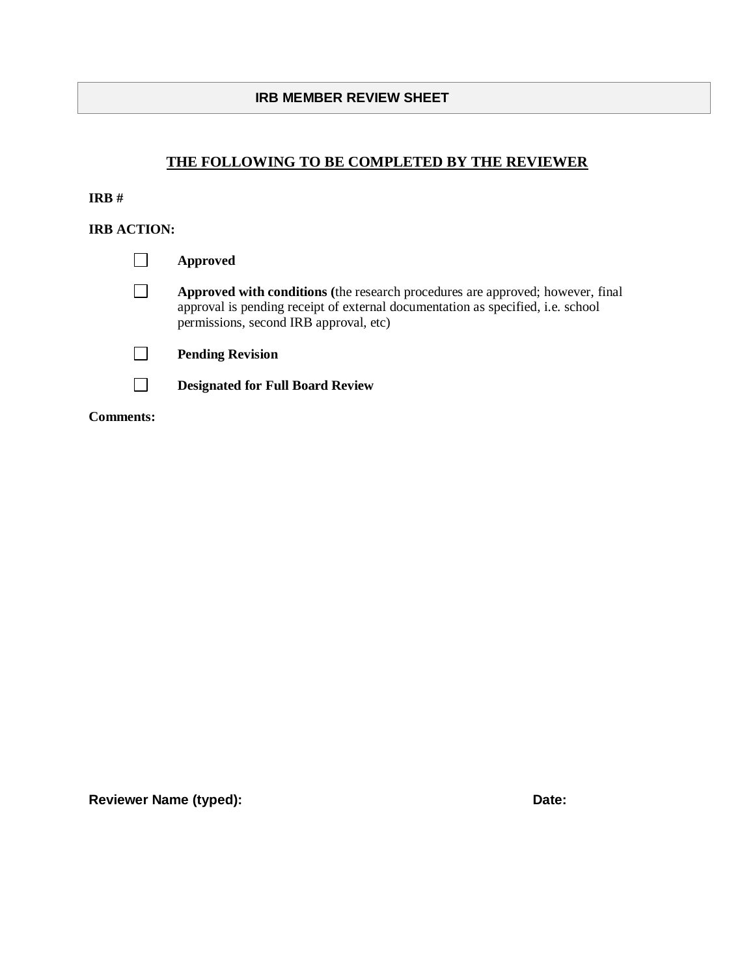## **IRB MEMBER REVIEW SHEET**

# **THE FOLLOWING TO BE COMPLETED BY THE REVIEWER**

## **IRB #**

## **IRB ACTION:**

|                  | Approved                                                                                                                                                                                                                  |
|------------------|---------------------------------------------------------------------------------------------------------------------------------------------------------------------------------------------------------------------------|
|                  | <b>Approved with conditions</b> (the research procedures are approved; however, final<br>approval is pending receipt of external documentation as specified, <i>i.e.</i> school<br>permissions, second IRB approval, etc) |
|                  | <b>Pending Revision</b>                                                                                                                                                                                                   |
|                  | <b>Designated for Full Board Review</b>                                                                                                                                                                                   |
| <b>Comments:</b> |                                                                                                                                                                                                                           |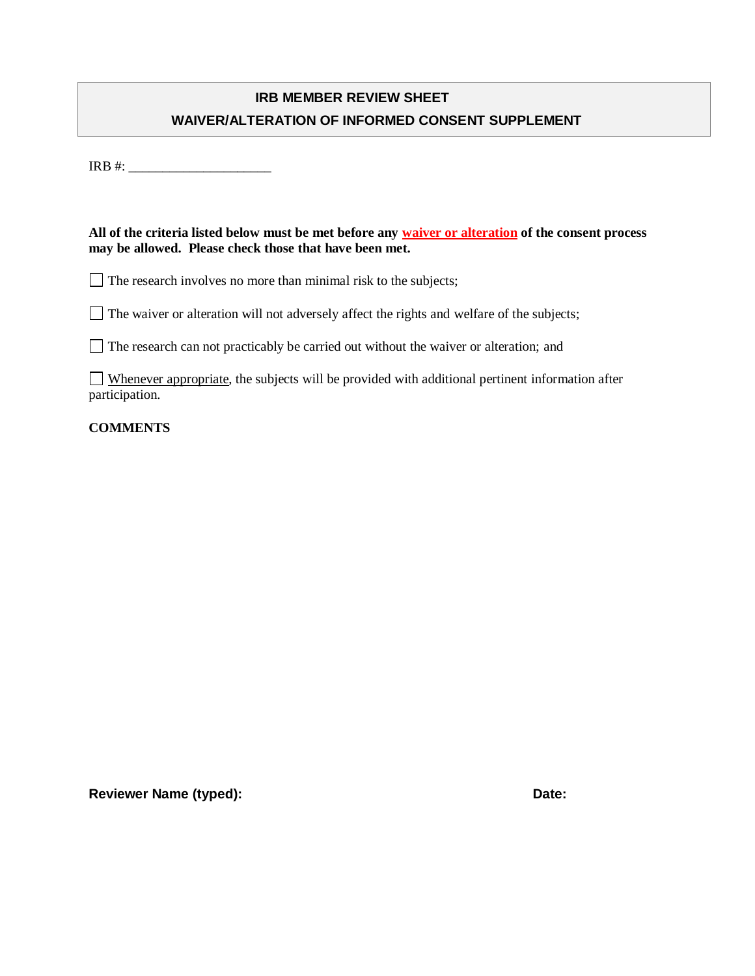# **IRB MEMBER REVIEW SHEET WAIVER/ALTERATION OF INFORMED CONSENT SUPPLEMENT**

IRB #: \_\_\_\_\_\_\_\_\_\_\_\_\_\_\_\_\_\_\_\_\_

**All of the criteria listed below must be met before any waiver or alteration of the consent process may be allowed. Please check those that have been met.** 

 $\Box$  The research involves no more than minimal risk to the subjects;

 $\Box$  The waiver or alteration will not adversely affect the rights and welfare of the subjects;

The research can not practicably be carried out without the waiver or alteration; and

Whenever appropriate, the subjects will be provided with additional pertinent information after participation.

## **COMMENTS**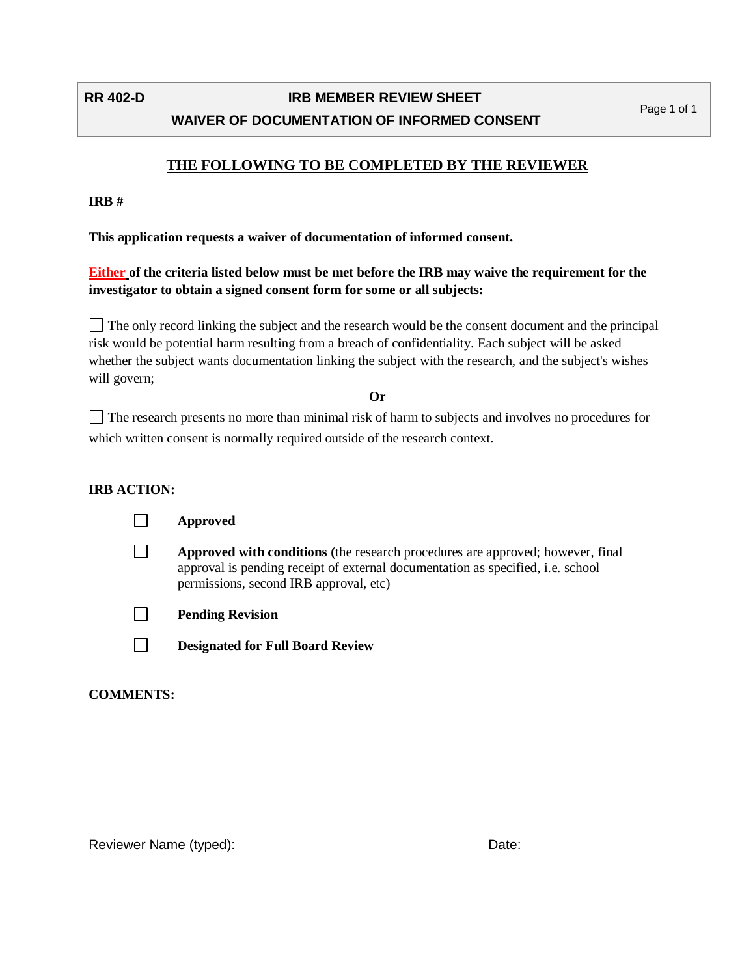# **RR 402-D IRB MEMBER REVIEW SHEET WAIVER OF DOCUMENTATION OF INFORMED CONSENT**

## **THE FOLLOWING TO BE COMPLETED BY THE REVIEWER**

#### **IRB #**

**This application requests a waiver of documentation of informed consent.** 

## **Either of the criteria listed below must be met before the IRB may waive the requirement for the investigator to obtain a signed consent form for some or all subjects:**

 $\Box$  The only record linking the subject and the research would be the consent document and the principal risk would be potential harm resulting from a breach of confidentiality. Each subject will be asked whether the subject wants documentation linking the subject with the research, and the subject's wishes will govern;

**Or**

The research presents no more than minimal risk of harm to subjects and involves no procedures for which written consent is normally required outside of the research context.

#### **IRB ACTION:**

| × | ۰ |  |
|---|---|--|
|   |   |  |
|   |   |  |

#### **Approved**

- $\Box$ **Approved with conditions (**the research procedures are approved; however, final approval is pending receipt of external documentation as specified, i.e. school permissions, second IRB approval, etc)
- П. **Pending Revision**
	- **Designated for Full Board Review**

## **COMMENTS:**

 $\Box$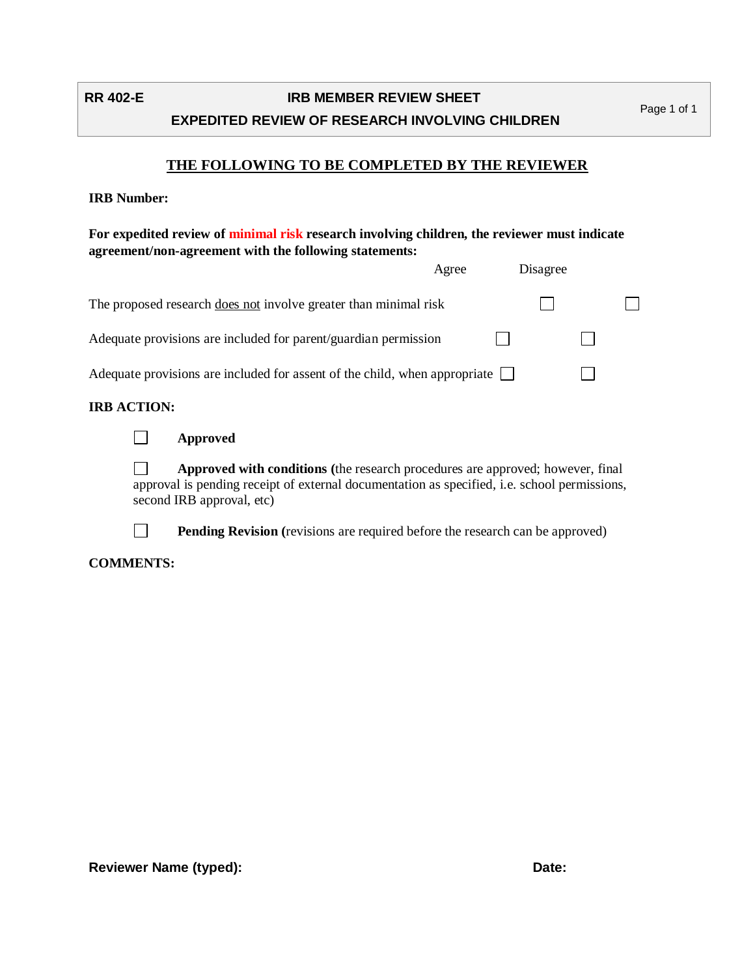# **RR 402-E IRB MEMBER REVIEW SHEET EXPEDITED REVIEW OF RESEARCH INVOLVING CHILDREN**

## **THE FOLLOWING TO BE COMPLETED BY THE REVIEWER**

#### **IRB Number:**

**For expedited review of minimal risk research involving children, the reviewer must indicate agreement/non-agreement with the following statements:** 

|                                                                                   | Agree | Disagree |  |
|-----------------------------------------------------------------------------------|-------|----------|--|
| The proposed research does not involve greater than minimal risk                  |       |          |  |
| Adequate provisions are included for parent/guardian permission                   |       |          |  |
| Adequate provisions are included for assent of the child, when appropriate $\Box$ |       |          |  |
|                                                                                   |       |          |  |

## **IRB ACTION:**

 $\Box$ 

## **Approved**

 $\Box$ **Approved with conditions (**the research procedures are approved; however, final approval is pending receipt of external documentation as specified, i.e. school permissions, second IRB approval, etc)

**Pending Revision** (revisions are required before the research can be approved)

## **COMMENTS:**

 $\Box$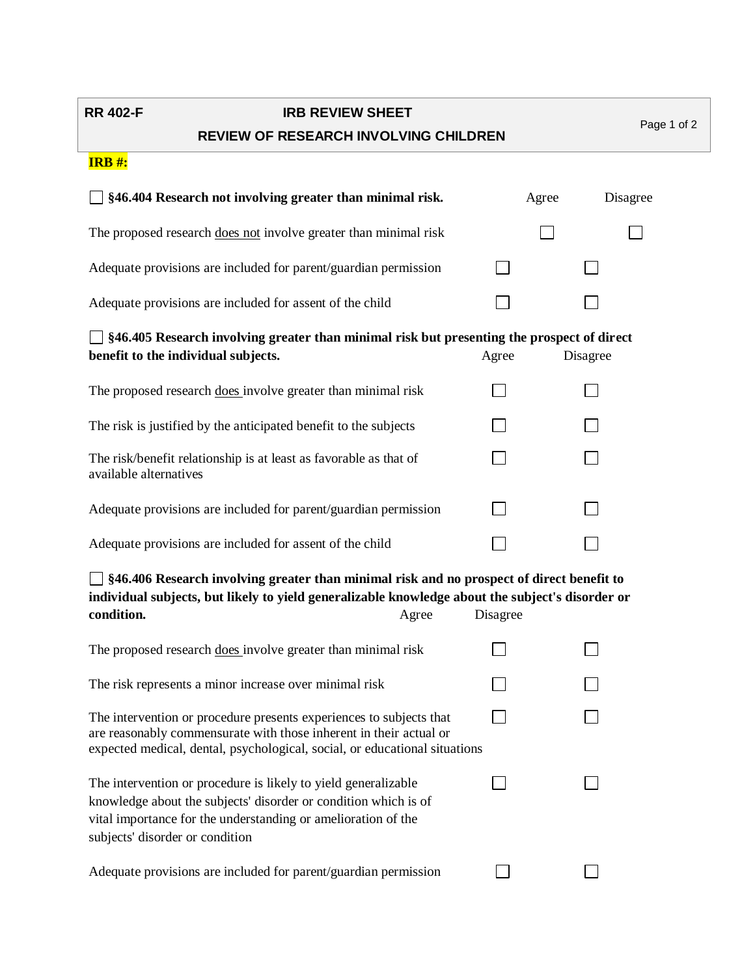# **RR 402-F IRB REVIEW SHEET REVIEW OF RESEARCH INVOLVING CHILDREN**

## **IRB #:**

| §46.404 Research not involving greater than minimal risk.                                                                                              |  | Agree | Disagree |  |
|--------------------------------------------------------------------------------------------------------------------------------------------------------|--|-------|----------|--|
| The proposed research does not involve greater than minimal risk                                                                                       |  |       |          |  |
| Adequate provisions are included for parent/guardian permission                                                                                        |  |       |          |  |
| Adequate provisions are included for assent of the child                                                                                               |  |       |          |  |
| §46.405 Research involving greater than minimal risk but presenting the prospect of direct<br>benefit to the individual subjects.<br>Disagree<br>Agree |  |       |          |  |
| The proposed research does involve greater than minimal risk                                                                                           |  |       |          |  |
| The risk is justified by the anticipated benefit to the subjects                                                                                       |  |       |          |  |
| The risk/benefit relationship is at least as favorable as that of<br>available alternatives                                                            |  |       |          |  |
| Adequate provisions are included for parent/guardian permission                                                                                        |  |       |          |  |
| Adequate provisions are included for assent of the child                                                                                               |  |       |          |  |

**§46.406 Research involving greater than minimal risk and no prospect of direct benefit to individual subjects, but likely to yield generalizable knowledge about the subject's disorder or condition.** Agree Disagree

| The proposed research does involve greater than minimal risk                                                                                                                                                                          |  |
|---------------------------------------------------------------------------------------------------------------------------------------------------------------------------------------------------------------------------------------|--|
| The risk represents a minor increase over minimal risk                                                                                                                                                                                |  |
| The intervention or procedure presents experiences to subjects that<br>are reasonably commensurate with those inherent in their actual or<br>expected medical, dental, psychological, social, or educational situations               |  |
| The intervention or procedure is likely to yield generalizable<br>knowledge about the subjects' disorder or condition which is of<br>vital importance for the understanding or amelioration of the<br>subjects' disorder or condition |  |
| Adequate provisions are included for parent/guardian permission                                                                                                                                                                       |  |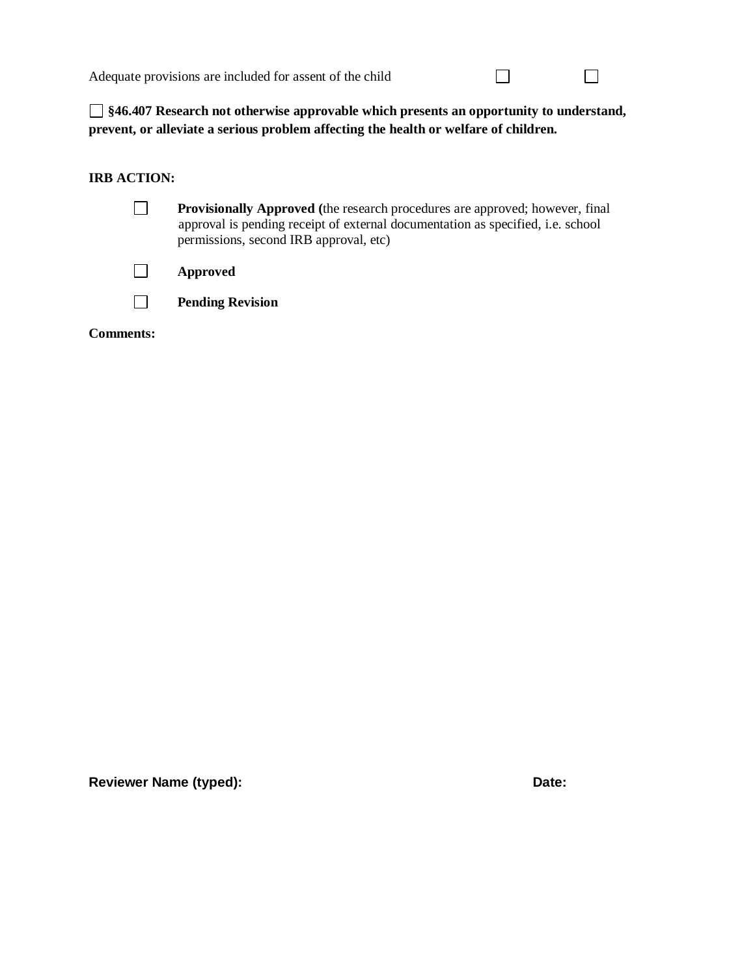Adequate provisions are included for assent of the child

 $\Box$  $\Box$ 

**§46.407 Research not otherwise approvable which presents an opportunity to understand, prevent, or alleviate a serious problem affecting the health or welfare of children.**

## **IRB ACTION:**

 $\Box$ **Provisionally Approved (**the research procedures are approved; however, final approval is pending receipt of external documentation as specified, i.e. school permissions, second IRB approval, etc)



 $\Box$ **Pending Revision**

**Comments:**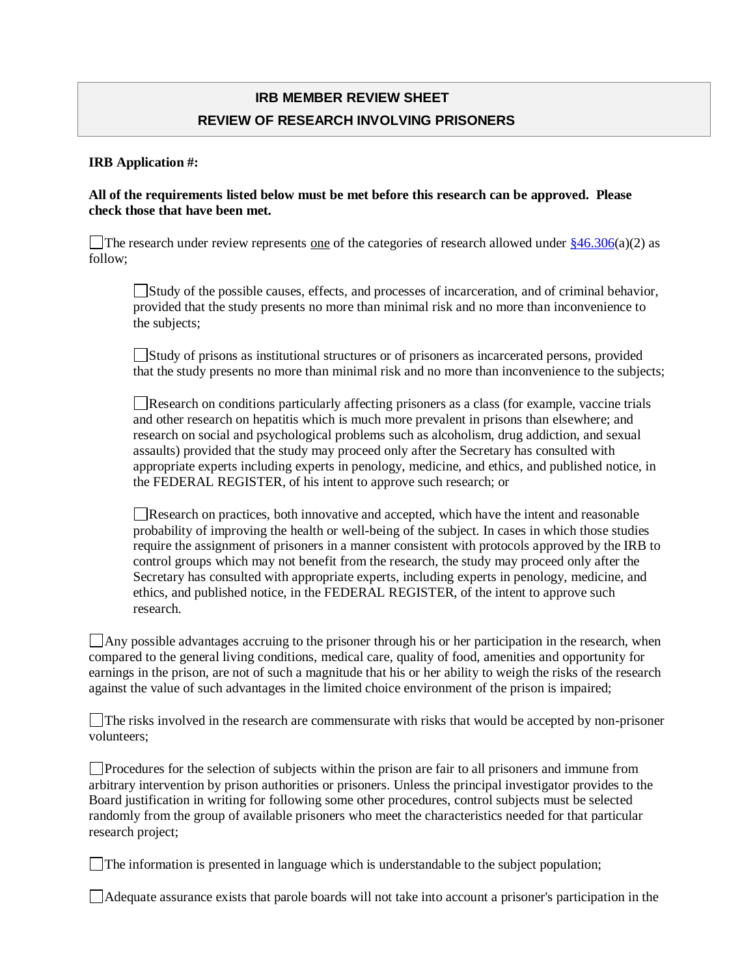# **IRB MEMBER REVIEW SHEET REVIEW OF RESEARCH INVOLVING PRISONERS**

## **IRB Application #:**

## **All of the requirements listed below must be met before this research can be approved. Please check those that have been met.**

The research under review represents <u>one</u> of the categories of research allowed under  $\frac{846.306}{a}(2)$  as follow;

Study of the possible causes, effects, and processes of incarceration, and of criminal behavior, provided that the study presents no more than minimal risk and no more than inconvenience to the subjects;

Study of prisons as institutional structures or of prisoners as incarcerated persons, provided that the study presents no more than minimal risk and no more than inconvenience to the subjects;

Research on conditions particularly affecting prisoners as a class (for example, vaccine trials and other research on hepatitis which is much more prevalent in prisons than elsewhere; and research on social and psychological problems such as alcoholism, drug addiction, and sexual assaults) provided that the study may proceed only after the Secretary has consulted with appropriate experts including experts in penology, medicine, and ethics, and published notice, in the FEDERAL REGISTER, of his intent to approve such research; or

Research on practices, both innovative and accepted, which have the intent and reasonable probability of improving the health or well-being of the subject. In cases in which those studies require the assignment of prisoners in a manner consistent with protocols approved by the IRB to control groups which may not benefit from the research, the study may proceed only after the Secretary has consulted with appropriate experts, including experts in penology, medicine, and ethics, and published notice, in the FEDERAL REGISTER, of the intent to approve such research.

Any possible advantages accruing to the prisoner through his or her participation in the research, when compared to the general living conditions, medical care, quality of food, amenities and opportunity for earnings in the prison, are not of such a magnitude that his or her ability to weigh the risks of the research against the value of such advantages in the limited choice environment of the prison is impaired;

The risks involved in the research are commensurate with risks that would be accepted by non-prisoner volunteers;

Procedures for the selection of subjects within the prison are fair to all prisoners and immune from arbitrary intervention by prison authorities or prisoners. Unless the principal investigator provides to the Board justification in writing for following some other procedures, control subjects must be selected randomly from the group of available prisoners who meet the characteristics needed for that particular research project;

The information is presented in language which is understandable to the subject population;

Adequate assurance exists that parole boards will not take into account a prisoner's participation in the